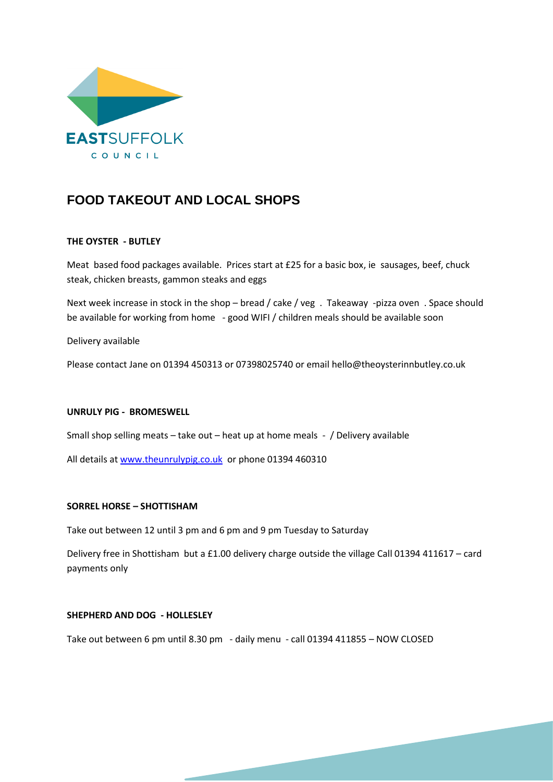

# **FOOD TAKEOUT AND LOCAL SHOPS**

## **THE OYSTER - BUTLEY**

Meat based food packages available. Prices start at £25 for a basic box, ie sausages, beef, chuck steak, chicken breasts, gammon steaks and eggs

Next week increase in stock in the shop – bread / cake / veg . Takeaway -pizza oven . Space should be available for working from home - good WIFI / children meals should be available soon

Delivery available

Please contact Jane on 01394 450313 or 07398025740 or email hello@theoysterinnbutley.co.uk

#### **UNRULY PIG - BROMESWELL**

Small shop selling meats – take out – heat up at home meals - / Delivery available

All details a[t www.theunrulypig.co.uk](http://www.theunrulypig.co.uk/) or phone 01394 460310

#### **SORREL HORSE – SHOTTISHAM**

Take out between 12 until 3 pm and 6 pm and 9 pm Tuesday to Saturday

Delivery free in Shottisham but a £1.00 delivery charge outside the village Call 01394 411617 – card payments only

### **SHEPHERD AND DOG - HOLLESLEY**

Take out between 6 pm until 8.30 pm - daily menu - call 01394 411855 – NOW CLOSED